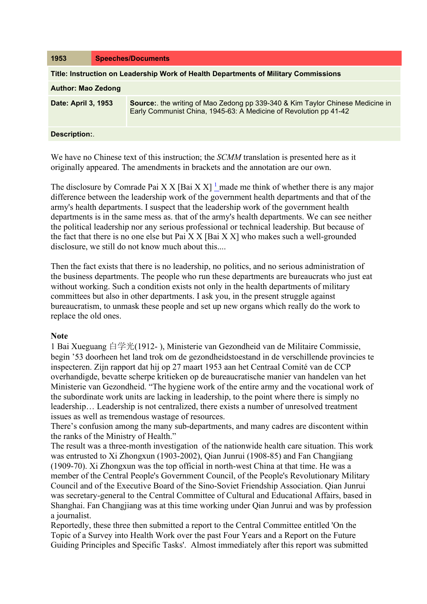| 1953                                                                                | <b>Speeches/Documents</b> |                                                                                                                                                    |
|-------------------------------------------------------------------------------------|---------------------------|----------------------------------------------------------------------------------------------------------------------------------------------------|
| Title: Instruction on Leadership Work of Health Departments of Military Commissions |                           |                                                                                                                                                    |
| <b>Author: Mao Zedong</b>                                                           |                           |                                                                                                                                                    |
| Date: April 3, 1953                                                                 |                           | Source: the writing of Mao Zedong pp 339-340 & Kim Taylor Chinese Medicine in<br>Early Communist China, 1945-63: A Medicine of Revolution pp 41-42 |
| Description:                                                                        |                           |                                                                                                                                                    |

We have no Chinese text of this instruction; the *SCMM* translation is presented here as it originally appeared. The amendments in brackets and the annotation are our own.

The disclosure by Comrade Pai X X [Bai X X]<sup>1</sup> made me think of whether there is any major difference between the leadership work of the government health departments and that of the army's health departments. I suspect that the leadership work of the government health departments is in the same mess as. that of the army's health departments. We can see neither the political leadership nor any serious professional or technical leadership. But because of the fact that there is no one else but Pai  $X X$  [Bai  $X X$ ] who makes such a well-grounded disclosure, we still do not know much about this....

Then the fact exists that there is no leadership, no politics, and no serious administration of the business departments. The people who run these departments are bureaucrats who just eat without working. Such a condition exists not only in the health departments of military committees but also in other departments. I ask you, in the present struggle against bureaucratism, to unmask these people and set up new organs which really do the work to replace the old ones.

## **Note**

1 Bai Xueguang 白学光(1912- ), Ministerie van Gezondheid van de Militaire Commissie, begin '53 doorheen het land trok om de gezondheidstoestand in de verschillende provincies te inspecteren. Zijn rapport dat hij op 27 maart 1953 aan het Centraal Comité van de CCP overhandigde, bevatte scherpe kritieken op de bureaucratische manier van handelen van het Ministerie van Gezondheid. "The hygiene work of the entire army and the vocational work of the subordinate work units are lacking in leadership, to the point where there is simply no leadership… Leadership is not centralized, there exists a number of unresolved treatment issues as well as tremendous wastage of resources.

There's confusion among the many sub-departments, and many cadres are discontent within the ranks of the Ministry of Health."

The result was a three-month investigation of the nationwide health care situation. This work was entrusted to Xi Zhongxun (1903-2002), Qian Junrui (1908-85) and Fan Changjiang (1909-70). Xi Zhongxun was the top official in north-west China at that time. He was a member of the Central People's Government Council, of the People's Revolutionary Military Council and of the Executive Board of the Sino-Soviet Friendship Association. Qian Junrui was secretary-general to the Central Committee of Cultural and Educational Affairs, based in Shanghai. Fan Changjiang was at this time working under Qian Junrui and was by profession a journalist.

Reportedly, these three then submitted a report to the Central Committee entitled 'On the Topic of a Survey into Health Work over the past Four Years and a Report on the Future Guiding Principles and Specific Tasks'. Almost immediately after this report was submitted